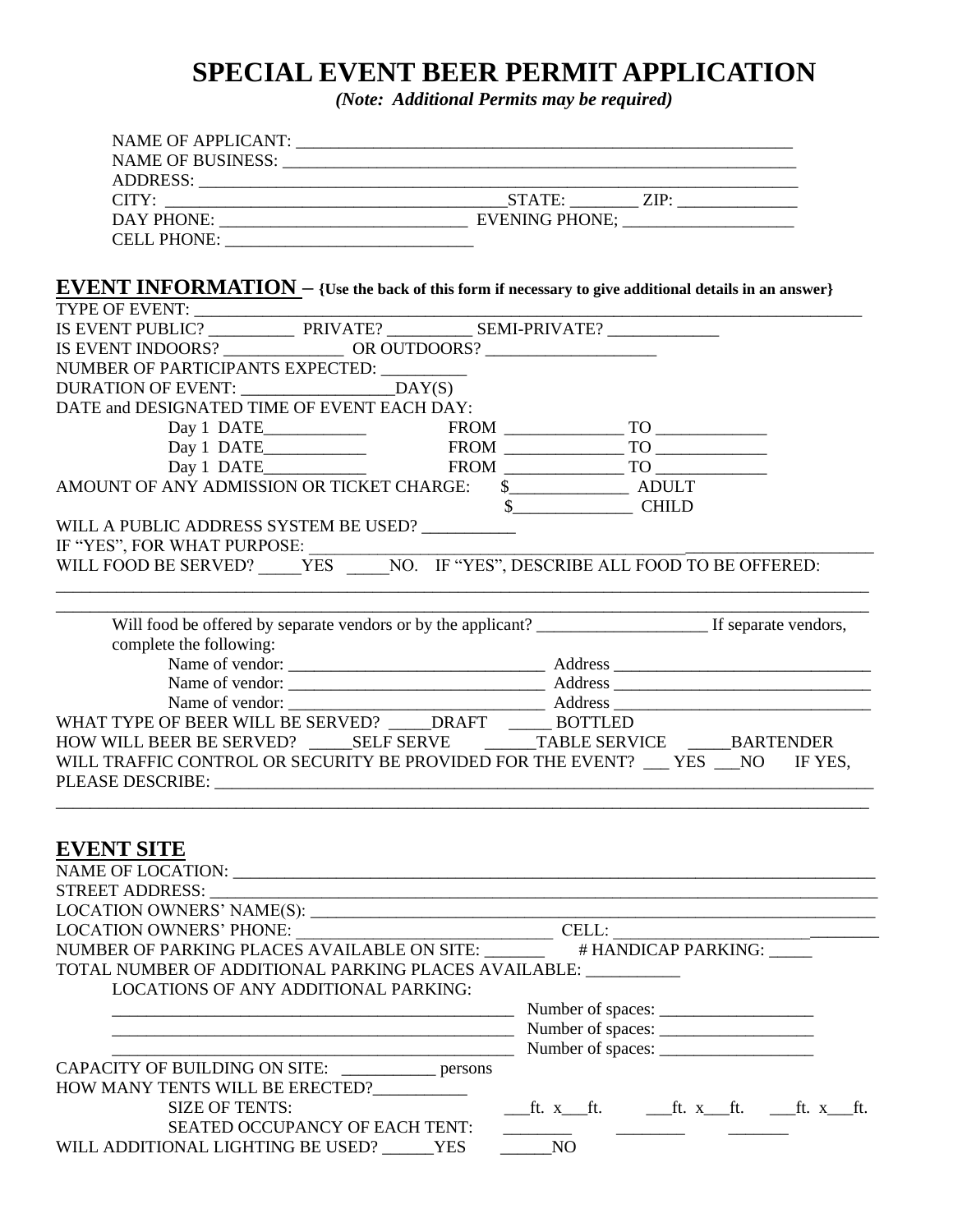## **SPECIAL EVENT BEER PERMIT APPLICATION**

*(Note: Additional Permits may be required)*

| <b>EVENT INFORMATION</b> - {Use the back of this form if necessary to give additional details in an answer}                                                                                                                                                                                                                                                                                                                                                                                                                                                                        |                                                                                                                                                                                                                                                                                                                                                                                                                                                                            |  |                     |  |  |  |  |
|------------------------------------------------------------------------------------------------------------------------------------------------------------------------------------------------------------------------------------------------------------------------------------------------------------------------------------------------------------------------------------------------------------------------------------------------------------------------------------------------------------------------------------------------------------------------------------|----------------------------------------------------------------------------------------------------------------------------------------------------------------------------------------------------------------------------------------------------------------------------------------------------------------------------------------------------------------------------------------------------------------------------------------------------------------------------|--|---------------------|--|--|--|--|
| TYPE OF EVENT:<br>IS EVENT PUBLIC? PRIVATE? SEMI-PRIVATE?                                                                                                                                                                                                                                                                                                                                                                                                                                                                                                                          |                                                                                                                                                                                                                                                                                                                                                                                                                                                                            |  |                     |  |  |  |  |
|                                                                                                                                                                                                                                                                                                                                                                                                                                                                                                                                                                                    |                                                                                                                                                                                                                                                                                                                                                                                                                                                                            |  |                     |  |  |  |  |
| NUMBER OF PARTICIPANTS EXPECTED: ________                                                                                                                                                                                                                                                                                                                                                                                                                                                                                                                                          |                                                                                                                                                                                                                                                                                                                                                                                                                                                                            |  |                     |  |  |  |  |
|                                                                                                                                                                                                                                                                                                                                                                                                                                                                                                                                                                                    |                                                                                                                                                                                                                                                                                                                                                                                                                                                                            |  |                     |  |  |  |  |
| DATE and DESIGNATED TIME OF EVENT EACH DAY:                                                                                                                                                                                                                                                                                                                                                                                                                                                                                                                                        |                                                                                                                                                                                                                                                                                                                                                                                                                                                                            |  |                     |  |  |  |  |
|                                                                                                                                                                                                                                                                                                                                                                                                                                                                                                                                                                                    |                                                                                                                                                                                                                                                                                                                                                                                                                                                                            |  |                     |  |  |  |  |
|                                                                                                                                                                                                                                                                                                                                                                                                                                                                                                                                                                                    |                                                                                                                                                                                                                                                                                                                                                                                                                                                                            |  |                     |  |  |  |  |
|                                                                                                                                                                                                                                                                                                                                                                                                                                                                                                                                                                                    | $\begin{tabular}{ c c c c } \hline Day 1\ DATE \hspace{1.5cm} & FROM & \hspace{1.5cm} \textcolor{red}{\textbf{---}} \hspace{1.5cm} \textcolor{red}{\textbf{---}} \hspace{1.5cm} \textcolor{red}{\textbf{---}} \hspace{1.5cm} \textcolor{red}{\textbf{---}} \hspace{1.5cm} \textcolor{red}{\textbf{---}} \hspace{1.5cm} \textcolor{red}{\textbf{---}} \hspace{1.5cm} \textcolor{red}{\textbf{---}} \hspace{1.5cm} \textcolor{red}{\textbf{---}} \hspace{1.5cm} \textcolor{$ |  |                     |  |  |  |  |
|                                                                                                                                                                                                                                                                                                                                                                                                                                                                                                                                                                                    |                                                                                                                                                                                                                                                                                                                                                                                                                                                                            |  |                     |  |  |  |  |
|                                                                                                                                                                                                                                                                                                                                                                                                                                                                                                                                                                                    |                                                                                                                                                                                                                                                                                                                                                                                                                                                                            |  |                     |  |  |  |  |
| WILL A PUBLIC ADDRESS SYSTEM BE USED? __________                                                                                                                                                                                                                                                                                                                                                                                                                                                                                                                                   |                                                                                                                                                                                                                                                                                                                                                                                                                                                                            |  | $\frac{1}{2}$ CHILD |  |  |  |  |
|                                                                                                                                                                                                                                                                                                                                                                                                                                                                                                                                                                                    |                                                                                                                                                                                                                                                                                                                                                                                                                                                                            |  |                     |  |  |  |  |
| $\begin{tabular}{ll} \bf IF ``YES", FOR WHAT PURPOSE: \\ \bf WILL\,FOOD BE SERVED? \underline{\hspace{2cm} \bf \color{green} \bf \color{green} \bf} \end{tabular} \begin{tabular}{ll} \bf \color{green} \bf \color{green} \bf \color{green} \bf \color{green} \bf \color{green} \bf \color{green} \bf \color{green} \bf \color{green} \bf \color{green} \bf \color{green} \bf \color{green} \bf \color{green} \bf \color{green} \bf \color{green} \bf \color{green} \bf \color{green} \bf \color{green} \bf \color{green} \bf \color{green} \bf \color{green} \bf \color{green} \$ |                                                                                                                                                                                                                                                                                                                                                                                                                                                                            |  |                     |  |  |  |  |
|                                                                                                                                                                                                                                                                                                                                                                                                                                                                                                                                                                                    |                                                                                                                                                                                                                                                                                                                                                                                                                                                                            |  |                     |  |  |  |  |
|                                                                                                                                                                                                                                                                                                                                                                                                                                                                                                                                                                                    |                                                                                                                                                                                                                                                                                                                                                                                                                                                                            |  |                     |  |  |  |  |
| complete the following:                                                                                                                                                                                                                                                                                                                                                                                                                                                                                                                                                            |                                                                                                                                                                                                                                                                                                                                                                                                                                                                            |  |                     |  |  |  |  |
|                                                                                                                                                                                                                                                                                                                                                                                                                                                                                                                                                                                    |                                                                                                                                                                                                                                                                                                                                                                                                                                                                            |  |                     |  |  |  |  |
|                                                                                                                                                                                                                                                                                                                                                                                                                                                                                                                                                                                    |                                                                                                                                                                                                                                                                                                                                                                                                                                                                            |  |                     |  |  |  |  |
|                                                                                                                                                                                                                                                                                                                                                                                                                                                                                                                                                                                    |                                                                                                                                                                                                                                                                                                                                                                                                                                                                            |  |                     |  |  |  |  |
| WHAT TYPE OF BEER WILL BE SERVED? _____ DRAFT ______ BOTTLED                                                                                                                                                                                                                                                                                                                                                                                                                                                                                                                       |                                                                                                                                                                                                                                                                                                                                                                                                                                                                            |  |                     |  |  |  |  |
| HOW WILL BEER BE SERVED? SELF SERVE TABLE SERVICE BARTENDER                                                                                                                                                                                                                                                                                                                                                                                                                                                                                                                        |                                                                                                                                                                                                                                                                                                                                                                                                                                                                            |  |                     |  |  |  |  |
| WILL TRAFFIC CONTROL OR SECURITY BE PROVIDED FOR THE EVENT? YES NO IF YES,                                                                                                                                                                                                                                                                                                                                                                                                                                                                                                         |                                                                                                                                                                                                                                                                                                                                                                                                                                                                            |  |                     |  |  |  |  |
|                                                                                                                                                                                                                                                                                                                                                                                                                                                                                                                                                                                    |                                                                                                                                                                                                                                                                                                                                                                                                                                                                            |  |                     |  |  |  |  |
|                                                                                                                                                                                                                                                                                                                                                                                                                                                                                                                                                                                    |                                                                                                                                                                                                                                                                                                                                                                                                                                                                            |  |                     |  |  |  |  |
| <b>EVENT SITE</b>                                                                                                                                                                                                                                                                                                                                                                                                                                                                                                                                                                  |                                                                                                                                                                                                                                                                                                                                                                                                                                                                            |  |                     |  |  |  |  |
|                                                                                                                                                                                                                                                                                                                                                                                                                                                                                                                                                                                    |                                                                                                                                                                                                                                                                                                                                                                                                                                                                            |  |                     |  |  |  |  |
| STREET ADDRESS: New York STREET ADDRESS:                                                                                                                                                                                                                                                                                                                                                                                                                                                                                                                                           |                                                                                                                                                                                                                                                                                                                                                                                                                                                                            |  |                     |  |  |  |  |
|                                                                                                                                                                                                                                                                                                                                                                                                                                                                                                                                                                                    |                                                                                                                                                                                                                                                                                                                                                                                                                                                                            |  |                     |  |  |  |  |
|                                                                                                                                                                                                                                                                                                                                                                                                                                                                                                                                                                                    |                                                                                                                                                                                                                                                                                                                                                                                                                                                                            |  |                     |  |  |  |  |
| LOCATION OWNERS' PHONE: CELL:<br>NUMBER OF PARKING PLACES AVAILABLE ON SITE:<br># HANDICAP PARKING:                                                                                                                                                                                                                                                                                                                                                                                                                                                                                |                                                                                                                                                                                                                                                                                                                                                                                                                                                                            |  |                     |  |  |  |  |
| TOTAL NUMBER OF ADDITIONAL PARKING PLACES AVAILABLE:                                                                                                                                                                                                                                                                                                                                                                                                                                                                                                                               |                                                                                                                                                                                                                                                                                                                                                                                                                                                                            |  |                     |  |  |  |  |
|                                                                                                                                                                                                                                                                                                                                                                                                                                                                                                                                                                                    | <b>LOCATIONS OF ANY ADDITIONAL PARKING:</b>                                                                                                                                                                                                                                                                                                                                                                                                                                |  |                     |  |  |  |  |
|                                                                                                                                                                                                                                                                                                                                                                                                                                                                                                                                                                                    |                                                                                                                                                                                                                                                                                                                                                                                                                                                                            |  |                     |  |  |  |  |
|                                                                                                                                                                                                                                                                                                                                                                                                                                                                                                                                                                                    |                                                                                                                                                                                                                                                                                                                                                                                                                                                                            |  |                     |  |  |  |  |
|                                                                                                                                                                                                                                                                                                                                                                                                                                                                                                                                                                                    | $\blacksquare$ Number of spaces: $\blacksquare$                                                                                                                                                                                                                                                                                                                                                                                                                            |  |                     |  |  |  |  |
| CAPACITY OF BUILDING ON SITE: __________ persons                                                                                                                                                                                                                                                                                                                                                                                                                                                                                                                                   |                                                                                                                                                                                                                                                                                                                                                                                                                                                                            |  |                     |  |  |  |  |
| HOW MANY TENTS WILL BE ERECTED?                                                                                                                                                                                                                                                                                                                                                                                                                                                                                                                                                    |                                                                                                                                                                                                                                                                                                                                                                                                                                                                            |  |                     |  |  |  |  |
| <b>SIZE OF TENTS:</b>                                                                                                                                                                                                                                                                                                                                                                                                                                                                                                                                                              |                                                                                                                                                                                                                                                                                                                                                                                                                                                                            |  |                     |  |  |  |  |
|                                                                                                                                                                                                                                                                                                                                                                                                                                                                                                                                                                                    | SEATED OCCUPANCY OF EACH TENT:                                                                                                                                                                                                                                                                                                                                                                                                                                             |  |                     |  |  |  |  |
| WILL ADDITIONAL LIGHTING BE USED? YES                                                                                                                                                                                                                                                                                                                                                                                                                                                                                                                                              |                                                                                                                                                                                                                                                                                                                                                                                                                                                                            |  | NO                  |  |  |  |  |